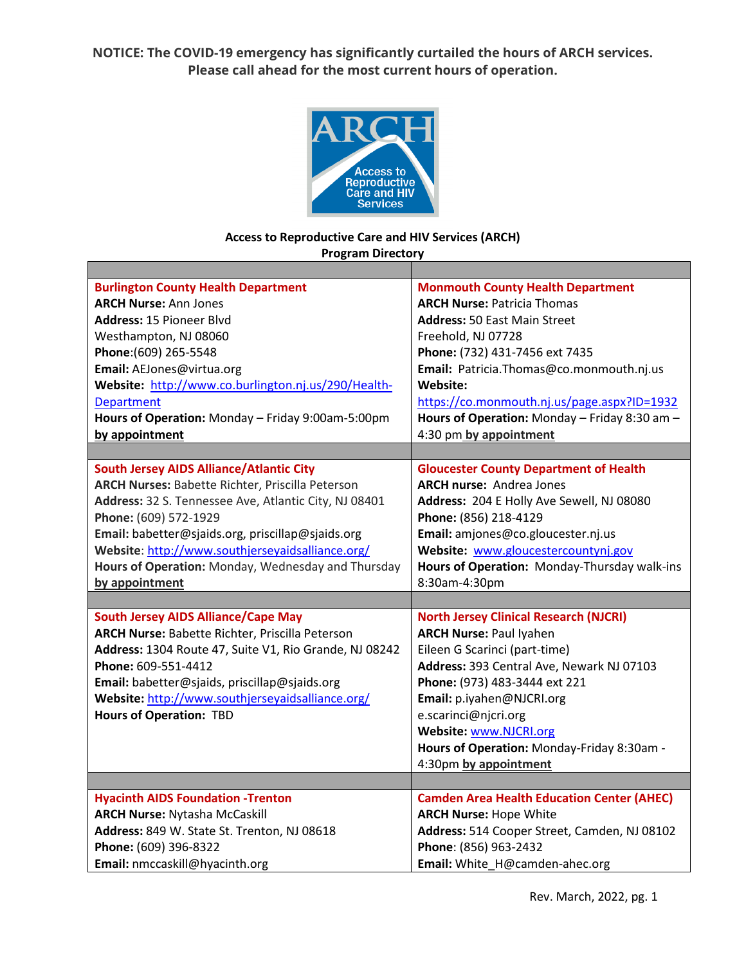**NOTICE: The COVID-19 emergency has significantly curtailed the hours of ARCH services. Please call ahead for the most current hours of operation.**



## **Access to Reproductive Care and HIV Services (ARCH) Program Directory**

| <b>Burlington County Health Department</b>              | <b>Monmouth County Health Department</b>          |
|---------------------------------------------------------|---------------------------------------------------|
| <b>ARCH Nurse: Ann Jones</b>                            | <b>ARCH Nurse: Patricia Thomas</b>                |
| <b>Address: 15 Pioneer Blyd</b>                         | <b>Address: 50 East Main Street</b>               |
| Westhampton, NJ 08060                                   | Freehold, NJ 07728                                |
| Phone: (609) 265-5548                                   | Phone: (732) 431-7456 ext 7435                    |
| Email: AEJones@virtua.org                               | Email: Patricia.Thomas@co.monmouth.nj.us          |
| Website: http://www.co.burlington.nj.us/290/Health-     | Website:                                          |
| <b>Department</b>                                       | https://co.monmouth.nj.us/page.aspx?ID=1932       |
| Hours of Operation: Monday - Friday 9:00am-5:00pm       | Hours of Operation: Monday - Friday 8:30 am -     |
| by appointment                                          | 4:30 pm by appointment                            |
|                                                         |                                                   |
| <b>South Jersey AIDS Alliance/Atlantic City</b>         | <b>Gloucester County Department of Health</b>     |
| <b>ARCH Nurses: Babette Richter, Priscilla Peterson</b> | <b>ARCH nurse: Andrea Jones</b>                   |
| Address: 32 S. Tennessee Ave, Atlantic City, NJ 08401   | Address: 204 E Holly Ave Sewell, NJ 08080         |
| Phone: (609) 572-1929                                   | Phone: (856) 218-4129                             |
| Email: babetter@sjaids.org, priscillap@sjaids.org       | Email: amjones@co.gloucester.nj.us                |
| Website: http://www.southjerseyaidsalliance.org/        | Website: www.gloucestercountynj.gov               |
| Hours of Operation: Monday, Wednesday and Thursday      | Hours of Operation: Monday-Thursday walk-ins      |
| by appointment                                          | 8:30am-4:30pm                                     |
|                                                         |                                                   |
| <b>South Jersey AIDS Alliance/Cape May</b>              | <b>North Jersey Clinical Research (NJCRI)</b>     |
| <b>ARCH Nurse: Babette Richter, Priscilla Peterson</b>  | <b>ARCH Nurse: Paul Iyahen</b>                    |
| Address: 1304 Route 47, Suite V1, Rio Grande, NJ 08242  | Eileen G Scarinci (part-time)                     |
| Phone: 609-551-4412                                     | Address: 393 Central Ave, Newark NJ 07103         |
| Email: babetter@sjaids, priscillap@sjaids.org           | Phone: (973) 483-3444 ext 221                     |
| Website: http://www.southjerseyaidsalliance.org/        | Email: p.iyahen@NJCRI.org                         |
| <b>Hours of Operation: TBD</b>                          | e.scarinci@njcri.org                              |
|                                                         | Website: www.NJCRI.org                            |
|                                                         | Hours of Operation: Monday-Friday 8:30am -        |
|                                                         | 4:30pm by appointment                             |
|                                                         |                                                   |
| <b>Hyacinth AIDS Foundation -Trenton</b>                | <b>Camden Area Health Education Center (AHEC)</b> |
|                                                         |                                                   |
| <b>ARCH Nurse: Nytasha McCaskill</b>                    | <b>ARCH Nurse: Hope White</b>                     |
| Address: 849 W. State St. Trenton, NJ 08618             | Address: 514 Cooper Street, Camden, NJ 08102      |
| Phone: (609) 396-8322                                   | Phone: (856) 963-2432                             |